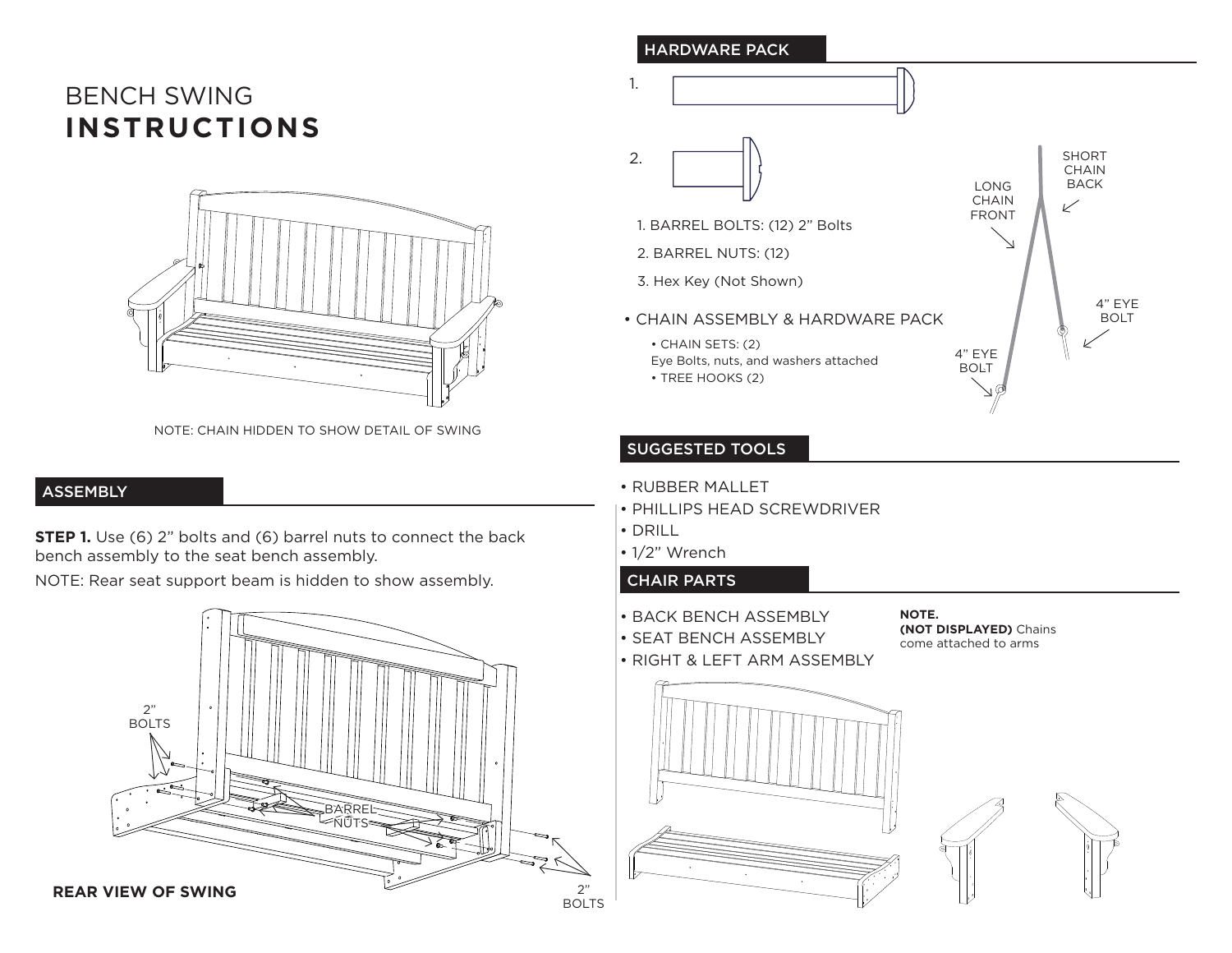# BENCH SWING **INSTRUCTIONS**



NOTE: CHAIN HIDDEN TO SHOW DETAIL OF SWING

## ASSEMBLY

**STEP 1.** Use (6) 2" bolts and (6) barrel nuts to connect the back bench assembly to the seat bench assembly.

NOTE: Rear seat support beam is hidden to show assembly.



#### HARDWARE PACK 1. SHORT 2. **CHAIN** BACK LONG **CHAIN**  $\swarrow$ FRONT 1. BARREL BOLTS: (12) 2" Bolts 2. BARREL NUTS: (12) 3. Hex Key (Not Shown) 4" EYE • CHAIN ASSEMBLY & HARDWARE PACK BOLT • CHAIN SETS: (2) 4" EYE Eye Bolts, nuts, and washers attached BOLT • TREE HOOKS (2)

## SUGGESTED TOOLS

- RUBBER MALLET
- PHILLIPS HEAD SCREWDRIVER
- DRILL
- 1/2" Wrench

## CHAIR PARTS

- BACK BENCH ASSEMBLY
- SEAT BENCH ASSEMBLY
- RIGHT & LEFT ARM ASSEMBLY

**NOTE. (NOT DISPLAYED)** Chains come attached to arms